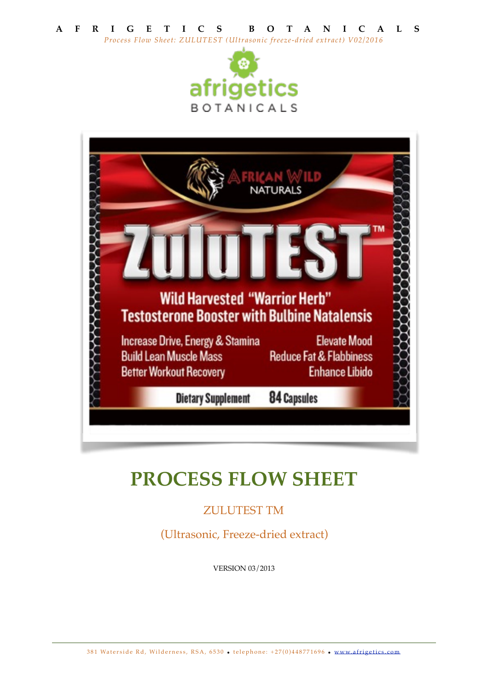



# **PROCESS FLOW SHEET**

## ZULUTEST TM

(Ultrasonic, Freeze-dried extract)

VERSION 03/2013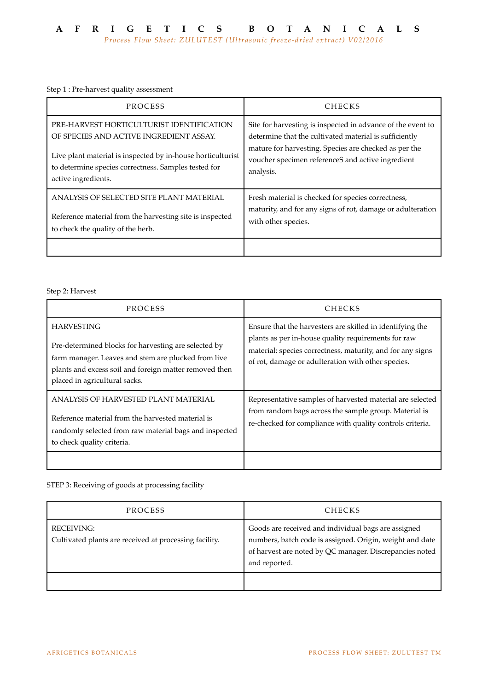Step 1 : Pre-harvest quality assessment

| PROCESS                                                     | <b>CHECKS</b>                                               |
|-------------------------------------------------------------|-------------------------------------------------------------|
| PRE-HARVEST HORTICULTURIST IDENTIFICATION                   | Site for harvesting is inspected in advance of the event to |
| OF SPECIES AND ACTIVE INGREDIENT ASSAY.                     | determine that the cultivated material is sufficiently      |
| Live plant material is inspected by in-house horticulturist | mature for harvesting. Species are checked as per the       |
| to determine species correctness. Samples tested for        | voucher specimen referenceS and active ingredient           |
| active ingredients.                                         | analysis.                                                   |
| ANALYSIS OF SELECTED SITE PLANT MATERIAL                    | Fresh material is checked for species correctness,          |
| Reference material from the harvesting site is inspected    | maturity, and for any signs of rot, damage or adulteration  |
| to check the quality of the herb.                           | with other species.                                         |

Step 2: Harvest

| PROCESS                                                                                                                                                                                                                     | <b>CHECKS</b>                                                                                                                                                                                                                        |
|-----------------------------------------------------------------------------------------------------------------------------------------------------------------------------------------------------------------------------|--------------------------------------------------------------------------------------------------------------------------------------------------------------------------------------------------------------------------------------|
| <b>HARVESTING</b><br>Pre-determined blocks for harvesting are selected by<br>farm manager. Leaves and stem are plucked from live<br>plants and excess soil and foreign matter removed then<br>placed in agricultural sacks. | Ensure that the harvesters are skilled in identifying the<br>plants as per in-house quality requirements for raw<br>material: species correctness, maturity, and for any signs<br>of rot, damage or adulteration with other species. |
| ANALYSIS OF HARVESTED PLANT MATERIAL<br>Reference material from the harvested material is<br>randomly selected from raw material bags and inspected<br>to check quality criteria.                                           | Representative samples of harvested material are selected<br>from random bags across the sample group. Material is<br>re-checked for compliance with quality controls criteria.                                                      |

STEP 3: Receiving of goods at processing facility

| PROCESS                                                                     | <b>CHECKS</b>                                                                                                                                                                               |
|-----------------------------------------------------------------------------|---------------------------------------------------------------------------------------------------------------------------------------------------------------------------------------------|
| <b>RECEIVING:</b><br>Cultivated plants are received at processing facility. | Goods are received and individual bags are assigned<br>numbers, batch code is assigned. Origin, weight and date<br>of harvest are noted by QC manager. Discrepancies noted<br>and reported. |
|                                                                             |                                                                                                                                                                                             |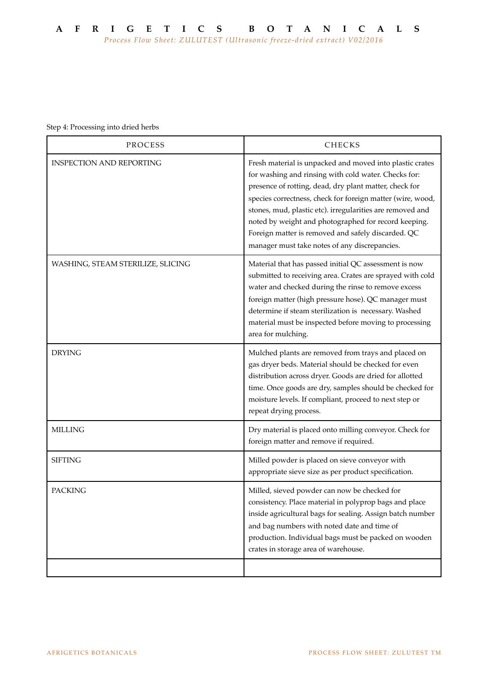Step 4: Processing into dried herbs

| PROCESS                           | CHECKS                                                                                                                                                                                                                                                                                                                                                                                                                                                               |
|-----------------------------------|----------------------------------------------------------------------------------------------------------------------------------------------------------------------------------------------------------------------------------------------------------------------------------------------------------------------------------------------------------------------------------------------------------------------------------------------------------------------|
| <b>INSPECTION AND REPORTING</b>   | Fresh material is unpacked and moved into plastic crates<br>for washing and rinsing with cold water. Checks for:<br>presence of rotting, dead, dry plant matter, check for<br>species correctness, check for foreign matter (wire, wood,<br>stones, mud, plastic etc). irregularities are removed and<br>noted by weight and photographed for record keeping.<br>Foreign matter is removed and safely discarded. QC<br>manager must take notes of any discrepancies. |
| WASHING, STEAM STERILIZE, SLICING | Material that has passed initial QC assessment is now<br>submitted to receiving area. Crates are sprayed with cold<br>water and checked during the rinse to remove excess<br>foreign matter (high pressure hose). QC manager must<br>determine if steam sterilization is necessary. Washed<br>material must be inspected before moving to processing<br>area for mulching.                                                                                           |
| <b>DRYING</b>                     | Mulched plants are removed from trays and placed on<br>gas dryer beds. Material should be checked for even<br>distribution across dryer. Goods are dried for allotted<br>time. Once goods are dry, samples should be checked for<br>moisture levels. If compliant, proceed to next step or<br>repeat drying process.                                                                                                                                                 |
| <b>MILLING</b>                    | Dry material is placed onto milling conveyor. Check for<br>foreign matter and remove if required.                                                                                                                                                                                                                                                                                                                                                                    |
| <b>SIFTING</b>                    | Milled powder is placed on sieve conveyor with<br>appropriate sieve size as per product specification.                                                                                                                                                                                                                                                                                                                                                               |
| <b>PACKING</b>                    | Milled, sieved powder can now be checked for<br>consistency. Place material in polyprop bags and place<br>inside agricultural bags for sealing. Assign batch number<br>and bag numbers with noted date and time of<br>production. Individual bags must be packed on wooden<br>crates in storage area of warehouse.                                                                                                                                                   |
|                                   |                                                                                                                                                                                                                                                                                                                                                                                                                                                                      |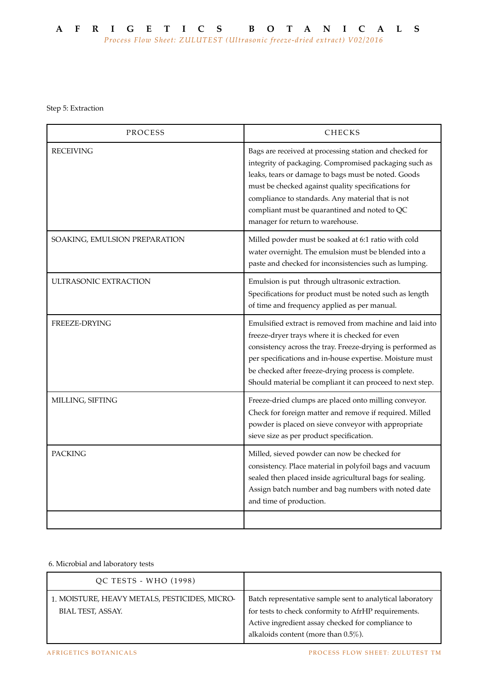Step 5: Extraction

| PROCESS                       | <b>CHECKS</b>                                                                                                                                                                                                                                                                                                                                                           |
|-------------------------------|-------------------------------------------------------------------------------------------------------------------------------------------------------------------------------------------------------------------------------------------------------------------------------------------------------------------------------------------------------------------------|
| <b>RECEIVING</b>              | Bags are received at processing station and checked for<br>integrity of packaging. Compromised packaging such as<br>leaks, tears or damage to bags must be noted. Goods<br>must be checked against quality specifications for<br>compliance to standards. Any material that is not<br>compliant must be quarantined and noted to QC<br>manager for return to warehouse. |
| SOAKING, EMULSION PREPARATION | Milled powder must be soaked at 6:1 ratio with cold<br>water overnight. The emulsion must be blended into a<br>paste and checked for inconsistencies such as lumping.                                                                                                                                                                                                   |
| ULTRASONIC EXTRACTION         | Emulsion is put through ultrasonic extraction.<br>Specifications for product must be noted such as length<br>of time and frequency applied as per manual.                                                                                                                                                                                                               |
| FREEZE-DRYING                 | Emulsified extract is removed from machine and laid into<br>freeze-dryer trays where it is checked for even<br>consistency across the tray. Freeze-drying is performed as<br>per specifications and in-house expertise. Moisture must<br>be checked after freeze-drying process is complete.<br>Should material be compliant it can proceed to next step.               |
| MILLING, SIFTING              | Freeze-dried clumps are placed onto milling conveyor.<br>Check for foreign matter and remove if required. Milled<br>powder is placed on sieve conveyor with appropriate<br>sieve size as per product specification.                                                                                                                                                     |
| <b>PACKING</b>                | Milled, sieved powder can now be checked for<br>consistency. Place material in polyfoil bags and vacuum<br>sealed then placed inside agricultural bags for sealing.<br>Assign batch number and bag numbers with noted date<br>and time of production.                                                                                                                   |
|                               |                                                                                                                                                                                                                                                                                                                                                                         |

## 6. Microbial and laboratory tests

| QC TESTS - WHO (1998)                                              |                                                                                                                                                                                                                   |
|--------------------------------------------------------------------|-------------------------------------------------------------------------------------------------------------------------------------------------------------------------------------------------------------------|
| 1. MOISTURE, HEAVY METALS, PESTICIDES, MICRO-<br>BIAL TEST, ASSAY. | Batch representative sample sent to analytical laboratory<br>for tests to check conformity to AfrHP requirements.<br>Active ingredient assay checked for compliance to<br>alkaloids content (more than $0.5\%$ ). |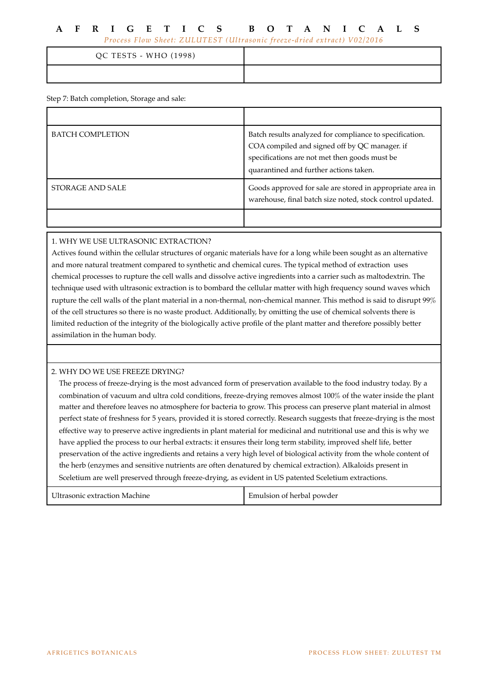## **AFRIGETICS BOTANICALS**

*Process Flow Sheet: ZULUTEST (Ultrasonic freeze-dried extract) V02/2016*

| QC TESTS - WHO (1998) |  |
|-----------------------|--|
|                       |  |

Step 7: Batch completion, Storage and sale:

| <b>BATCH COMPLETION</b> | Batch results analyzed for compliance to specification.<br>COA compiled and signed off by QC manager. if<br>specifications are not met then goods must be<br>quarantined and further actions taken. |
|-------------------------|-----------------------------------------------------------------------------------------------------------------------------------------------------------------------------------------------------|
| STORAGE AND SALE        | Goods approved for sale are stored in appropriate area in<br>warehouse, final batch size noted, stock control updated.                                                                              |
|                         |                                                                                                                                                                                                     |

## 1. WHY WE USE ULTRASONIC EXTRACTION?

Actives found within the cellular structures of organic materials have for a long while been sought as an alternative and more natural treatment compared to synthetic and chemical cures. The typical method of extraction uses chemical processes to rupture the cell walls and dissolve active ingredients into a carrier such as maltodextrin. The technique used with ultrasonic extraction is to bombard the cellular matter with high frequency sound waves which rupture the cell walls of the plant material in a non-thermal, non-chemical manner. This method is said to disrupt 99% of the cell structures so there is no waste product. Additionally, by omitting the use of chemical solvents there is limited reduction of the integrity of the biologically active profile of the plant matter and therefore possibly better assimilation in the human body.

## 2. WHY DO WE USE FREEZE DRYING?

The process of freeze-drying is the most advanced form of preservation available to the food industry today. By a combination of vacuum and ultra cold conditions, freeze-drying removes almost 100% of the water inside the plant matter and therefore leaves no atmosphere for bacteria to grow. This process can preserve plant material in almost perfect state of freshness for 5 years, provided it is stored correctly. Research suggests that freeze-drying is the most effective way to preserve active ingredients in plant material for medicinal and nutritional use and this is why we have applied the process to our herbal extracts: it ensures their long term stability, improved shelf life, better preservation of the active ingredients and retains a very high level of biological activity from the whole content of the herb (enzymes and sensitive nutrients are often denatured by chemical extraction). Alkaloids present in Sceletium are well preserved through freeze-drying, as evident in US patented Sceletium extractions.

Ultrasonic extraction Machine **Emulsion of herbal powder**